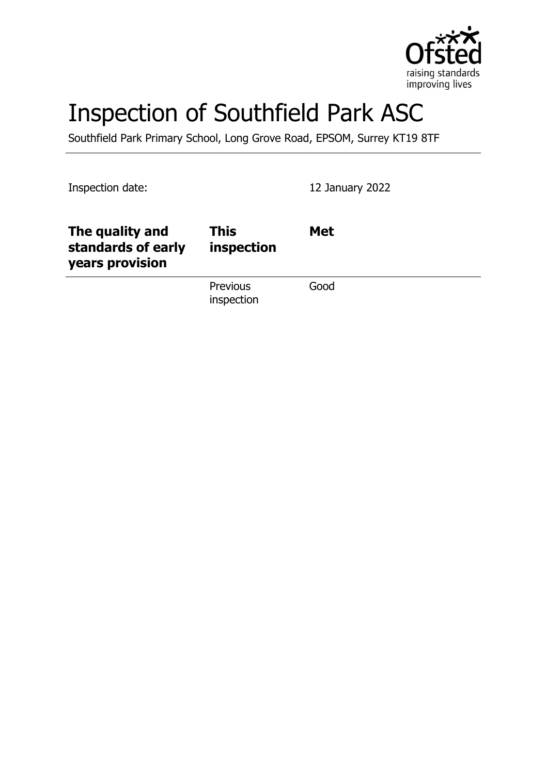

# Inspection of Southfield Park ASC

Southfield Park Primary School, Long Grove Road, EPSOM, Surrey KT19 8TF

Inspection date: 12 January 2022

| The quality and<br>standards of early<br>years provision | <b>This</b><br>inspection     | <b>Met</b> |
|----------------------------------------------------------|-------------------------------|------------|
|                                                          | <b>Previous</b><br>inspection | Good       |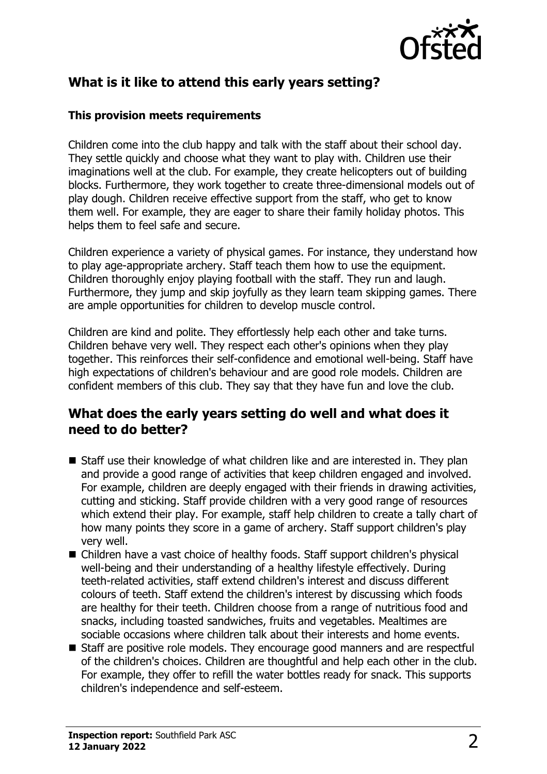

# **What is it like to attend this early years setting?**

### **This provision meets requirements**

Children come into the club happy and talk with the staff about their school day. They settle quickly and choose what they want to play with. Children use their imaginations well at the club. For example, they create helicopters out of building blocks. Furthermore, they work together to create three-dimensional models out of play dough. Children receive effective support from the staff, who get to know them well. For example, they are eager to share their family holiday photos. This helps them to feel safe and secure.

Children experience a variety of physical games. For instance, they understand how to play age-appropriate archery. Staff teach them how to use the equipment. Children thoroughly enjoy playing football with the staff. They run and laugh. Furthermore, they jump and skip joyfully as they learn team skipping games. There are ample opportunities for children to develop muscle control.

Children are kind and polite. They effortlessly help each other and take turns. Children behave very well. They respect each other's opinions when they play together. This reinforces their self-confidence and emotional well-being. Staff have high expectations of children's behaviour and are good role models. Children are confident members of this club. They say that they have fun and love the club.

## **What does the early years setting do well and what does it need to do better?**

- $\blacksquare$  Staff use their knowledge of what children like and are interested in. They plan and provide a good range of activities that keep children engaged and involved. For example, children are deeply engaged with their friends in drawing activities, cutting and sticking. Staff provide children with a very good range of resources which extend their play. For example, staff help children to create a tally chart of how many points they score in a game of archery. Staff support children's play very well.
- Children have a vast choice of healthy foods. Staff support children's physical well-being and their understanding of a healthy lifestyle effectively. During teeth-related activities, staff extend children's interest and discuss different colours of teeth. Staff extend the children's interest by discussing which foods are healthy for their teeth. Children choose from a range of nutritious food and snacks, including toasted sandwiches, fruits and vegetables. Mealtimes are sociable occasions where children talk about their interests and home events.
- Staff are positive role models. They encourage good manners and are respectful of the children's choices. Children are thoughtful and help each other in the club. For example, they offer to refill the water bottles ready for snack. This supports children's independence and self-esteem.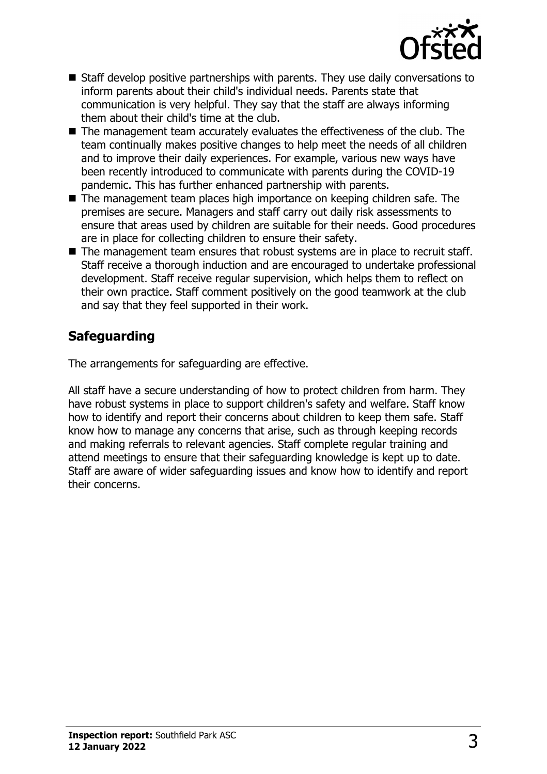

- $\blacksquare$  Staff develop positive partnerships with parents. They use daily conversations to inform parents about their child's individual needs. Parents state that communication is very helpful. They say that the staff are always informing them about their child's time at the club.
- $\blacksquare$  The management team accurately evaluates the effectiveness of the club. The team continually makes positive changes to help meet the needs of all children and to improve their daily experiences. For example, various new ways have been recently introduced to communicate with parents during the COVID-19 pandemic. This has further enhanced partnership with parents.
- $\blacksquare$  The management team places high importance on keeping children safe. The premises are secure. Managers and staff carry out daily risk assessments to ensure that areas used by children are suitable for their needs. Good procedures are in place for collecting children to ensure their safety.
- $\blacksquare$  The management team ensures that robust systems are in place to recruit staff. Staff receive a thorough induction and are encouraged to undertake professional development. Staff receive regular supervision, which helps them to reflect on their own practice. Staff comment positively on the good teamwork at the club and say that they feel supported in their work.

# **Safeguarding**

The arrangements for safeguarding are effective.

All staff have a secure understanding of how to protect children from harm. They have robust systems in place to support children's safety and welfare. Staff know how to identify and report their concerns about children to keep them safe. Staff know how to manage any concerns that arise, such as through keeping records and making referrals to relevant agencies. Staff complete regular training and attend meetings to ensure that their safeguarding knowledge is kept up to date. Staff are aware of wider safeguarding issues and know how to identify and report their concerns.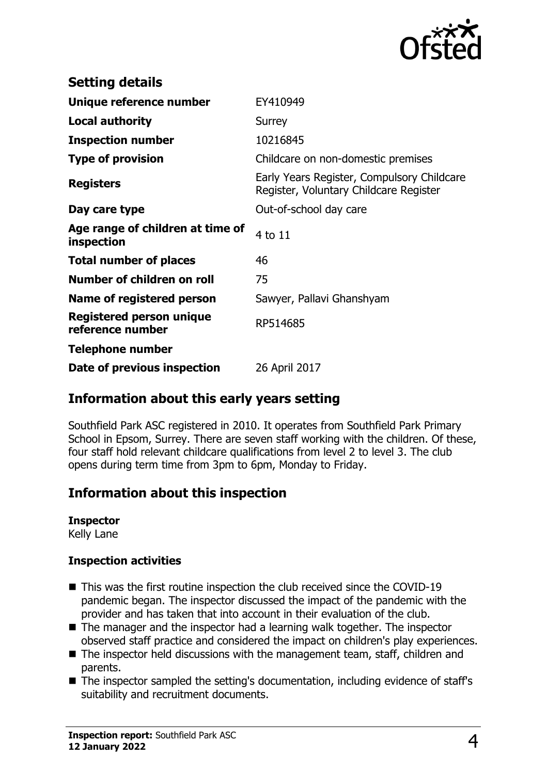

| <b>Setting details</b>                              |                                                                                      |
|-----------------------------------------------------|--------------------------------------------------------------------------------------|
| Unique reference number                             | EY410949                                                                             |
| <b>Local authority</b>                              | Surrey                                                                               |
| <b>Inspection number</b>                            | 10216845                                                                             |
| <b>Type of provision</b>                            | Childcare on non-domestic premises                                                   |
| <b>Registers</b>                                    | Early Years Register, Compulsory Childcare<br>Register, Voluntary Childcare Register |
| Day care type                                       | Out-of-school day care                                                               |
| Age range of children at time of<br>inspection      | 4 to 11                                                                              |
| <b>Total number of places</b>                       | 46                                                                                   |
| Number of children on roll                          | 75                                                                                   |
| Name of registered person                           | Sawyer, Pallavi Ghanshyam                                                            |
| <b>Registered person unique</b><br>reference number | RP514685                                                                             |
| <b>Telephone number</b>                             |                                                                                      |
| Date of previous inspection                         | 26 April 2017                                                                        |

## **Information about this early years setting**

Southfield Park ASC registered in 2010. It operates from Southfield Park Primary School in Epsom, Surrey. There are seven staff working with the children. Of these, four staff hold relevant childcare qualifications from level 2 to level 3. The club opens during term time from 3pm to 6pm, Monday to Friday.

## **Information about this inspection**

### **Inspector**

Kelly Lane

### **Inspection activities**

- $\blacksquare$  This was the first routine inspection the club received since the COVID-19 pandemic began. The inspector discussed the impact of the pandemic with the provider and has taken that into account in their evaluation of the club.
- $\blacksquare$  The manager and the inspector had a learning walk together. The inspector observed staff practice and considered the impact on children's play experiences.
- $\blacksquare$  The inspector held discussions with the management team, staff, children and parents.
- $\blacksquare$  The inspector sampled the setting's documentation, including evidence of staff's suitability and recruitment documents.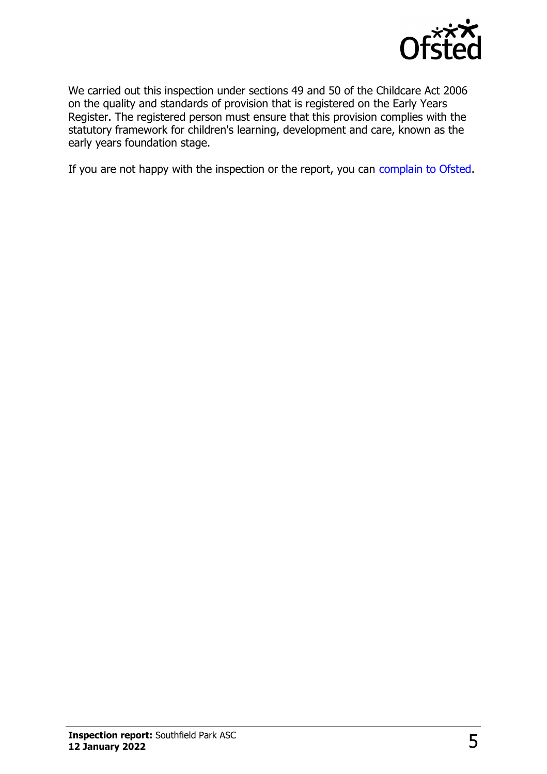

We carried out this inspection under sections 49 and 50 of the Childcare Act 2006 on the quality and standards of provision that is registered on the Early Years Register. The registered person must ensure that this provision complies with the statutory framework for children's learning, development and care, known as the early years foundation stage.

If you are not happy with the inspection or the report, you can [complain to Ofsted](http://www.gov.uk/complain-ofsted-report).